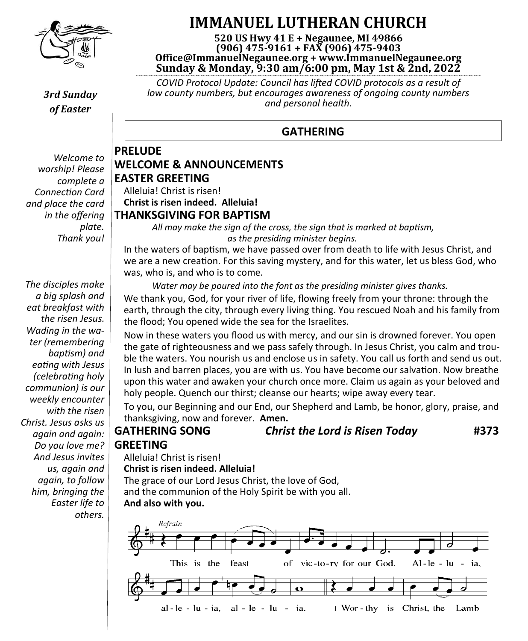

*3rd Sunday of Easter*

*Welcome to worship! Please complete a Connection Card and place the card in the offering plate. Thank you!*

*The disciples make a big splash and eat breakfast with the risen Jesus. Wading in the water (remembering baptism) and eating with Jesus (celebrating holy communion) is our weekly encounter with the risen Christ. Jesus asks us again and again: Do you love me? And Jesus invites us, again and again, to follow him, bringing the Easter life to others.*

## **IMMANUEL LUTHERAN CHURCH**

**520 US Hwy 41 E + Negaunee, MI 49866 (906) 475-9161 + FAX (906) 475-9403 Office@ImmanuelNegaunee.org + www.ImmanuelNegaunee.org Sunday & Monday, 9:30 am/6:00 pm, May 1st & 2nd, 2022**

COVID Protocol Update: Council has lifted COVID protocols as a result of *low county numbers, but encourages awareness of ongoing county numbers and personal health.*

#### **GATHERING**

### **PRELUDE WELCOME & ANNOUNCEMENTS EASTER GREETING**

Alleluia! Christ is risen!

#### **Christ is risen indeed. Alleluia! THANKSGIVING FOR BAPTISM**

*All may make the sign of the cross, the sign that is marked at baptism,* 

*as the presiding minister begins.*

In the waters of baptism, we have passed over from death to life with Jesus Christ, and we are a new creation. For this saving mystery, and for this water, let us bless God, who was, who is, and who is to come.

*Water may be poured into the font as the presiding minister gives thanks.* We thank you, God, for your river of life, flowing freely from your throne: through the earth, through the city, through every living thing. You rescued Noah and his family from

the flood; You opened wide the sea for the Israelites. Now in these waters you flood us with mercy, and our sin is drowned forever. You open

the gate of righteousness and we pass safely through. In Jesus Christ, you calm and trouble the waters. You nourish us and enclose us in safety. You call us forth and send us out. In lush and barren places, you are with us. You have become our salvation. Now breathe upon this water and awaken your church once more. Claim us again as your beloved and holy people. Quench our thirst; cleanse our hearts; wipe away every tear.

To you, our Beginning and our End, our Shepherd and Lamb, be honor, glory, praise, and thanksgiving, now and forever. **Amen.**

# **GREETING**

**GATHERING SONG** *Christ the Lord is Risen Today* **#373**

Alleluia! Christ is risen! **Christ is risen indeed. Alleluia!** The grace of our Lord Jesus Christ, the love of God, and the communion of the Holy Spirit be with you all. **And also with you.** 

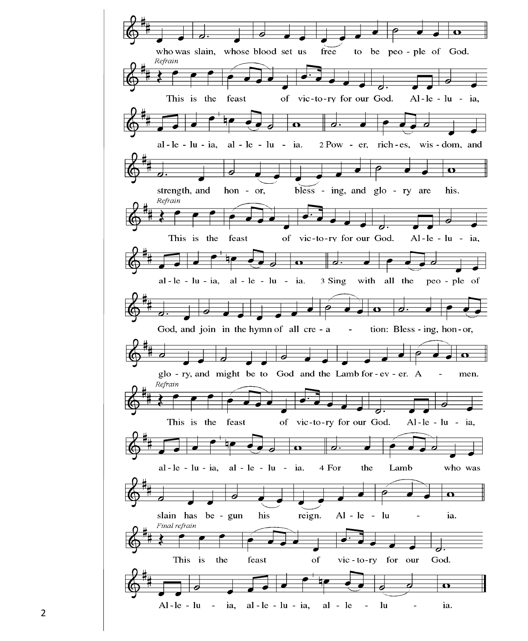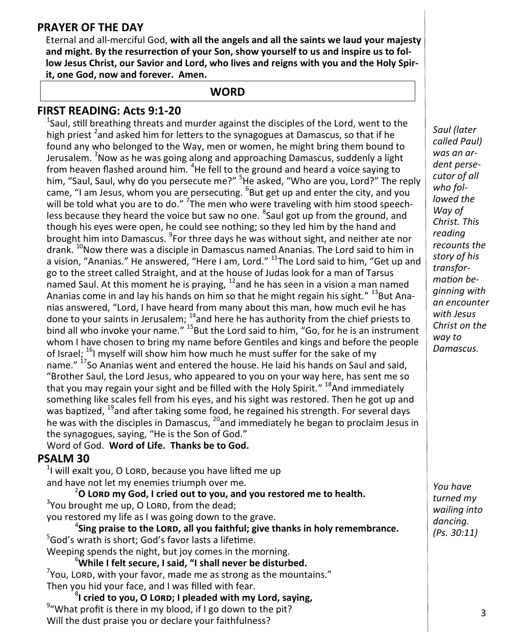#### **PRAYER OF THE DAY**

Eternal and all-merciful God, **with all the angels and all the saints we laud your majesty and might. By the resurrection of your Son, show yourself to us and inspire us to follow Jesus Christ, our Savior and Lord, who lives and reigns with you and the Holy Spirit, one God, now and forever. Amen.**

#### **WORD**

#### **FIRST READING: Acts 9:1-20**

<sup>1</sup>Saul, still breathing threats and murder against the disciples of the Lord, went to the high priest <sup>2</sup> and asked him for letters to the synagogues at Damascus, so that if he found any who belonged to the Way, men or women, he might bring them bound to Jerusalem. <sup>3</sup>Now as he was going along and approaching Damascus, suddenly a light from heaven flashed around him. <sup>4</sup>He fell to the ground and heard a voice saying to him, "Saul, Saul, why do you persecute me?" <sup>5</sup>He asked, "Who are you, Lord?" The reply came, "I am Jesus, whom you are persecuting. <sup>6</sup>But get up and enter the city, and you will be told what you are to do." <sup>7</sup>The men who were traveling with him stood speechless because they heard the voice but saw no one. <sup>8</sup>Saul got up from the ground, and though his eyes were open, he could see nothing; so they led him by the hand and brought him into Damascus. <sup>9</sup>For three days he was without sight, and neither ate nor drank. <sup>10</sup>Now there was a disciple in Damascus named Ananias. The Lord said to him in a vision, "Ananias." He answered, "Here I am, Lord." <sup>11</sup>The Lord said to him, "Get up and go to the street called Straight, and at the house of Judas look for a man of Tarsus named Saul. At this moment he is praying, <sup>12</sup>and he has seen in a vision a man named Ananias come in and lay his hands on him so that he might regain his sight." <sup>13</sup>But Ananias answered, "Lord, I have heard from many about this man, how much evil he has done to your saints in Jerusalem;  $14$  and here he has authority from the chief priests to bind all who invoke your name." <sup>15</sup>But the Lord said to him, "Go, for he is an instrument whom I have chosen to bring my name before Gentiles and kings and before the people of Israel;  $^{16}$ I myself will show him how much he must suffer for the sake of my name." <sup>17</sup>So Ananias went and entered the house. He laid his hands on Saul and said, "Brother Saul, the Lord Jesus, who appeared to you on your way here, has sent me so that you may regain your sight and be filled with the Holy Spirit." <sup>18</sup>And immediately something like scales fell from his eyes, and his sight was restored. Then he got up and was baptized, <sup>19</sup>and after taking some food, he regained his strength. For several days he was with the disciples in Damascus,  $^{20}$  and immediately he began to proclaim Jesus in the synagogues, saying, "He is the Son of God."

Word of God. **Word of Life. Thanks be to God.** 

#### **PSALM 30**

 $1$ I will exalt you, O LORD, because you have lifted me up and have not let my enemies triumph over me.

<sup>2</sup>**O Lord my God, I cried out to you, and you restored me to health.**  $3$ You brought me up, O LORD, from the dead; you restored my life as I was going down to the grave.

4 **Sing praise to the Lord, all you faithful; give thanks in holy remembrance.** <sup>5</sup>God's wrath is short; God's favor lasts a lifetime.

Weeping spends the night, but joy comes in the morning.

<sup>6</sup>**While I felt secure, I said, "I shall never be disturbed.**  $7$ You, LORD, with your favor, made me as strong as the mountains." Then you hid your face, and I was filled with fear.

8 **I cried to you, O Lord; I pleaded with my Lord, saying,** <sup>9</sup> "What profit is there in my blood, if I go down to the pit? Will the dust praise you or declare your faithfulness?

*Saul (later called Paul) was an ardent persecutor of all who followed the Way of Christ. This reading recounts the story of his transformation beginning with an encounter with Jesus Christ on the way to Damascus.*

*You have turned my wailing into dancing. (Ps. 30:11)*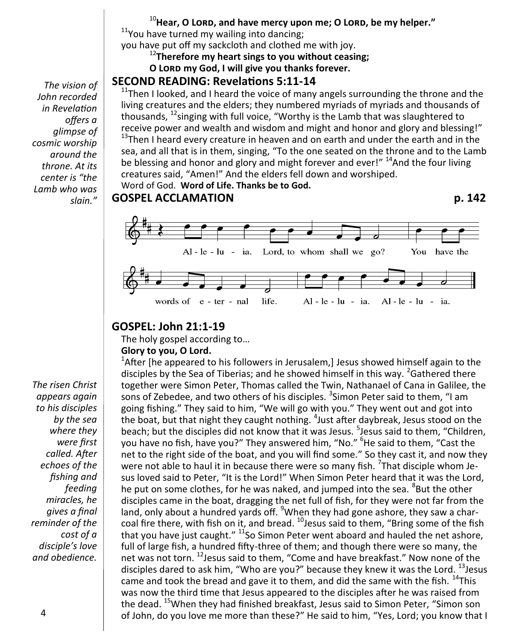<sup>12</sup>**Therefore my heart sings to you without ceasing; O Lord my God, I will give you thanks forever. SECOND READING: Revelations 5:11-14**  $11$ Then I looked, and I heard the voice of many angels surrounding the throne and the living creatures and the elders; they numbered myriads of myriads and thousands of thousands,  $^{12}$ singing with full voice. "Worthy is the Lamb that was slaughtered to receive power and wealth and wisdom and might and honor and glory and blessing!"  $13$ Then I heard every creature in heaven and on earth and under the earth and in the sea, and all that is in them, singing, "To the one seated on the throne and to the Lamb be blessing and honor and glory and might forever and ever!"  $14$ And the four living creatures said, "Amen!" And the elders fell down and worshiped. Word of God. **Word of Life. Thanks be to God. GOSPEL ACCLAMATION p. 142** Lord, to whom shall we go?  $Al - le - lu$ ia. You have the

<sup>10</sup>**Hear, O Lord, and have mercy upon me; O Lord, be my helper."**

 $11$ You have turned my wailing into dancing;

you have put off my sackcloth and clothed me with joy.



### **GOSPEL: John 21:1-19**

The holy gospel according to…

#### **Glory to you, O Lord.**

<sup>1</sup>After [he appeared to his followers in Jerusalem,] Jesus showed himself again to the disciples by the Sea of Tiberias; and he showed himself in this way.  $2\pi$ Gathered there together were Simon Peter, Thomas called the Twin, Nathanael of Cana in Galilee, the sons of Zebedee, and two others of his disciples. <sup>3</sup>Simon Peter said to them, "I am going fishing." They said to him, "We will go with you." They went out and got into the boat, but that night they caught nothing. <sup>4</sup>Just after daybreak, Jesus stood on the beach; but the disciples did not know that it was Jesus. <sup>5</sup>Jesus said to them, "Children, you have no fish, have you?" They answered him, "No." <sup>6</sup>He said to them, "Cast the net to the right side of the boat, and you will find some." So they cast it, and now they were not able to haul it in because there were so many fish. <sup>7</sup>That disciple whom Jesus loved said to Peter, "It is the Lord!" When Simon Peter heard that it was the Lord, he put on some clothes, for he was naked, and jumped into the sea. <sup>8</sup>But the other disciples came in the boat, dragging the net full of fish, for they were not far from the land, only about a hundred vards off.  $9$ When they had gone ashore, they saw a charcoal fire there, with fish on it, and bread. <sup>10</sup>Jesus said to them, "Bring some of the fish that you have just caught." <sup>11</sup>So Simon Peter went aboard and hauled the net ashore, full of large fish, a hundred fifty-three of them; and though there were so many, the net was not torn. <sup>12</sup>Jesus said to them, "Come and have breakfast." Now none of the disciples dared to ask him, "Who are you?" because they knew it was the Lord.  $^{13}$  Jesus came and took the bread and gave it to them, and did the same with the fish.  $^{14}$ This was now the third time that Jesus appeared to the disciples after he was raised from the dead. <sup>15</sup>When they had finished breakfast, Jesus said to Simon Peter, "Simon son of John, do you love me more than these?" He said to him, "Yes, Lord; you know that I

*The vision of John recorded in Revelation offers a glimpse of cosmic worship around the throne. At its center is "the Lamb who was slain."*

*The risen Christ appears again to his disciples by the sea where they were first called. After echoes of the fishing and feeding miracles, he gives a final reminder of the cost of a disciple's love and obedience.*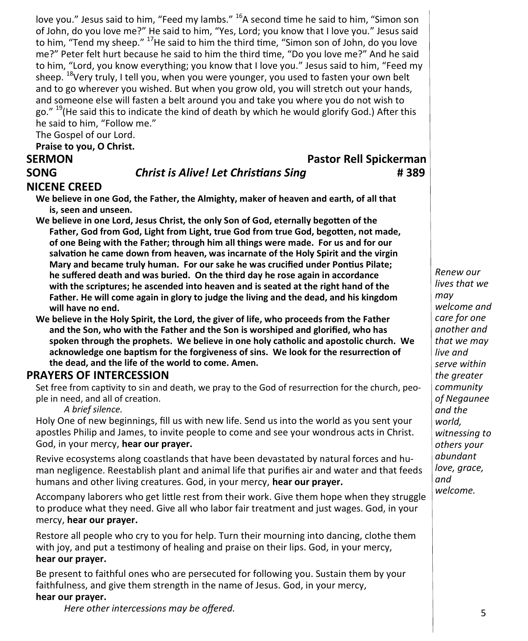love you." Jesus said to him, "Feed my lambs." <sup>16</sup>A second time he said to him, "Simon son of John, do you love me?" He said to him, "Yes, Lord; you know that I love you." Jesus said to him, "Tend my sheep." <sup>17</sup>He said to him the third time, "Simon son of John, do you love me?" Peter felt hurt because he said to him the third time, "Do you love me?" And he said to him, "Lord, you know everything; you know that I love you." Jesus said to him, "Feed my sheep.  $^{18}$ Very truly, I tell you, when you were younger, you used to fasten your own belt and to go wherever you wished. But when you grow old, you will stretch out your hands, and someone else will fasten a belt around you and take you where you do not wish to go." <sup>19</sup>(He said this to indicate the kind of death by which he would glorify God.) After this he said to him, "Follow me."

The Gospel of our Lord.

**Praise to you, O Christ.**

### **SERMON Pastor Rell Spickerman**

#### **SONG** *Christ is Alive! Let Christians Sing* **# 389**

#### **NICENE CREED**

**We believe in one God, the Father, the Almighty, maker of heaven and earth, of all that is, seen and unseen.**

**We believe in one Lord, Jesus Christ, the only Son of God, eternally begotten of the Father, God from God, Light from Light, true God from true God, begotten, not made, of one Being with the Father; through him all things were made. For us and for our salvation he came down from heaven, was incarnate of the Holy Spirit and the virgin Mary and became truly human. For our sake he was crucified under Pontius Pilate; he suffered death and was buried. On the third day he rose again in accordance with the scriptures; he ascended into heaven and is seated at the right hand of the Father. He will come again in glory to judge the living and the dead, and his kingdom will have no end.**

**We believe in the Holy Spirit, the Lord, the giver of life, who proceeds from the Father and the Son, who with the Father and the Son is worshiped and glorified, who has spoken through the prophets. We believe in one holy catholic and apostolic church. We acknowledge one baptism for the forgiveness of sins. We look for the resurrection of the dead, and the life of the world to come. Amen.**

#### **PRAYERS OF INTERCESSION**

Set free from captivity to sin and death, we pray to the God of resurrection for the church, people in need, and all of creation.

#### *A brief silence.*

Holy One of new beginnings, fill us with new life. Send us into the world as you sent your apostles Philip and James, to invite people to come and see your wondrous acts in Christ. God, in your mercy, **hear our prayer.**

Revive ecosystems along coastlands that have been devastated by natural forces and human negligence. Reestablish plant and animal life that purifies air and water and that feeds humans and other living creatures. God, in your mercy, **hear our prayer.**

Accompany laborers who get little rest from their work. Give them hope when they struggle to produce what they need. Give all who labor fair treatment and just wages. God, in your mercy, **hear our prayer.**

Restore all people who cry to you for help. Turn their mourning into dancing, clothe them with joy, and put a testimony of healing and praise on their lips. God, in your mercy, **hear our prayer.**

Be present to faithful ones who are persecuted for following you. Sustain them by your faithfulness, and give them strength in the name of Jesus. God, in your mercy,

#### **hear our prayer.**

*Here other intercessions may be offered.*

*Renew our lives that we may welcome and care for one another and that we may live and serve within the greater community of Negaunee and the world, witnessing to others your abundant love, grace, and welcome.*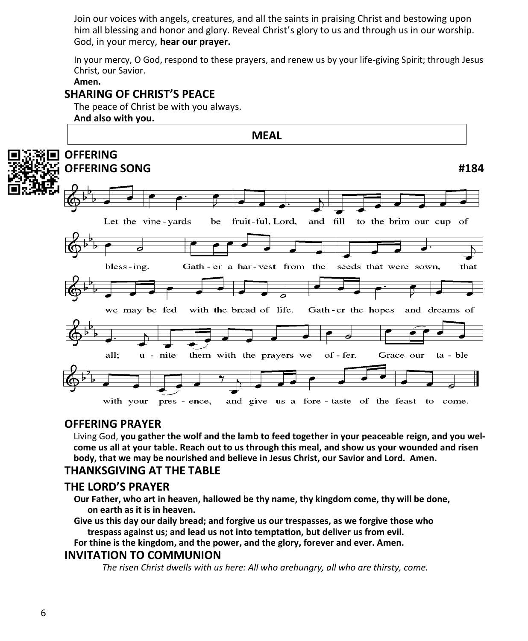Join our voices with angels, creatures, and all the saints in praising Christ and bestowing upon him all blessing and honor and glory. Reveal Christ's glory to us and through us in our worship. God, in your mercy, **hear our prayer.**

In your mercy, O God, respond to these prayers, and renew us by your life-giving Spirit; through Jesus Christ, our Savior.

**Amen.**

#### **SHARING OF CHRIST'S PEACE**

The peace of Christ be with you always. **And also with you.**

**MEALOFFERING** П **OFFERING SONG #184** ŅΩ, Let the vine-yards be fruit-ful, Lord, and fill to the brim our cup of bless-ing. Gath - er a har-vest from the seeds that were sown, that we may be fed with the bread of life. Gath-er the hopes and dreams of all:  $u$ nite them with the prayers we of - fer. Grace our ta - ble and give us a fore-taste of the feast to come. with your pres - ence,

#### **OFFERING PRAYER**

Living God, **you gather the wolf and the lamb to feed together in your peaceable reign, and you welcome us all at your table. Reach out to us through this meal, and show us your wounded and risen body, that we may be nourished and believe in Jesus Christ, our Savior and Lord. Amen.**

#### **THANKSGIVING AT THE TABLE**

#### **THE LORD'S PRAYER**

**Our Father, who art in heaven, hallowed be thy name, thy kingdom come, thy will be done, on earth as it is in heaven.**

**Give us this day our daily bread; and forgive us our trespasses, as we forgive those who trespass against us; and lead us not into temptation, but deliver us from evil.**

**For thine is the kingdom, and the power, and the glory, forever and ever. Amen.**

#### **INVITATION TO COMMUNION**

*The risen Christ dwells with us here: All who arehungry, all who are thirsty, come.*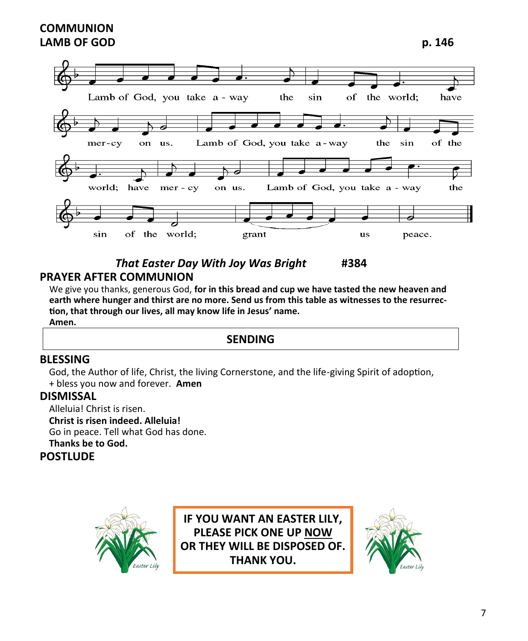#### **COMMUNION LAMB OF GOD p. 146**



### *That Easter Day With Joy Was Bright* **#384**

#### **PRAYER AFTER COMMUNION**

We give you thanks, generous God, **for in this bread and cup we have tasted the new heaven and earth where hunger and thirst are no more. Send us from this table as witnesses to the resurrection, that through our lives, all may know life in Jesus' name. Amen.**

#### **SENDING**

#### **BLESSING**

God, the Author of life, Christ, the living Cornerstone, and the life-giving Spirit of adoption, + bless you now and forever. **Amen**

#### **DISMISSAL**

Alleluia! Christ is risen. **Christ is risen indeed. Alleluia!** Go in peace. Tell what God has done. **Thanks be to God.**

**POSTLUDE**



**IF YOU WANT AN EASTER LILY, PLEASE PICK ONE UP NOW OR THEY WILL BE DISPOSED OF. THANK YOU.**

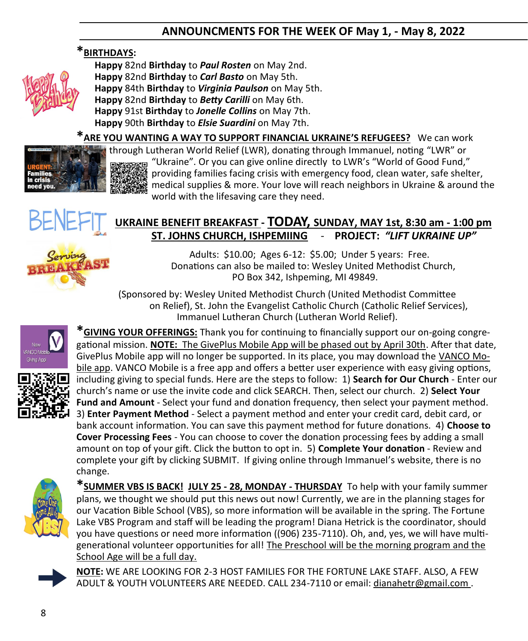### **ANNOUNCMENTS FOR THE WEEK OF May 1, - May 8, 2022**

#### **\*BIRTHDAYS:**



 **Happy** 82nd **Birthday** to *Paul Rosten* on May 2nd. **Happy** 82nd **Birthday** to *Carl Basto* on May 5th. **Happy** 84th **Birthday** to *Virginia Paulson* on May 5th. **Happy** 82nd **Birthday** to *Betty Carilli* on May 6th. **Happy** 91st **Birthday** to *Jonelle Collins* on May 7th. **Happy** 90th **Birthday** to *Elsie Suardini* on May 7th.

**\*ARE YOU WANTING A WAY TO SUPPORT FINANCIAL UKRAINE'S REFUGEES?** We can work through Lutheran World Relief (LWR), donating through Immanuel, noting "LWR" or **WE AVE AVALUAT THE UPPER THE COOL FULLY** AT UPPER THE "Using". providing families facing crisis with emergency food, clean water, safe shelter, medical supplies & more. Your love will reach neighbors in Ukraine & around the world with the lifesaving care they need.

### **UKRAINE BENEFIT BREAKFAST - TODAY, SUNDAY, MAY 1st, 8:30 am - 1:00 pm ST. JOHNS CHURCH, ISHPEMIING** - **PROJECT:** *"LIFT UKRAINE UP"*



Adults: \$10.00; Ages 6-12: \$5.00; Under 5 years: Free. Donations can also be mailed to: Wesley United Methodist Church, PO Box 342, Ishpeming, MI 49849.

(Sponsored by: Wesley United Methodist Church (United Methodist Committee on Relief), St. John the Evangelist Catholic Church (Catholic Relief Services), Immanuel Lutheran Church (Lutheran World Relief).





**\*GIVING YOUR OFFERINGS:** Thank you for continuing to financially support our on-going congregational mission. **NOTE:** The GivePlus Mobile App will be phased out by April 30th. After that date, GivePlus Mobile app will no longer be supported. In its place, you may download the VANCO Mobile app. VANCO Mobile is a free app and offers a better user experience with easy giving options, including giving to special funds. Here are the steps to follow: 1) **Search for Our Church** - Enter our church's name or use the invite code and click SEARCH. Then, select our church. 2) **Select Your Fund and Amount** - Select your fund and donation frequency, then select your payment method. 3) **Enter Payment Method** - Select a payment method and enter your credit card, debit card, or bank account information. You can save this payment method for future donations. 4) **Choose to Cover Processing Fees** - You can choose to cover the donation processing fees by adding a small amount on top of your gift. Click the button to opt in. 5) **Complete Your donation** - Review and complete your gift by clicking SUBMIT. If giving online through Immanuel's website, there is no change.



**\*SUMMER VBS IS BACK! JULY 25 - 28, MONDAY - THURSDAY** To help with your family summer plans, we thought we should put this news out now! Currently, we are in the planning stages for our Vacation Bible School (VBS), so more information will be available in the spring. The Fortune Lake VBS Program and staff will be leading the program! Diana Hetrick is the coordinator, should you have questions or need more information ((906) 235-7110). Oh, and, yes, we will have multigenerational volunteer opportunities for all! The Preschool will be the morning program and the School Age will be a full day.



**NOTE:** WE ARE LOOKING FOR 2-3 HOST FAMILIES FOR THE FORTUNE LAKE STAFF. ALSO, A FEW ADULT & YOUTH VOLUNTEERS ARE NEEDED. CALL 234-7110 or email: dianahetr@gmail.com .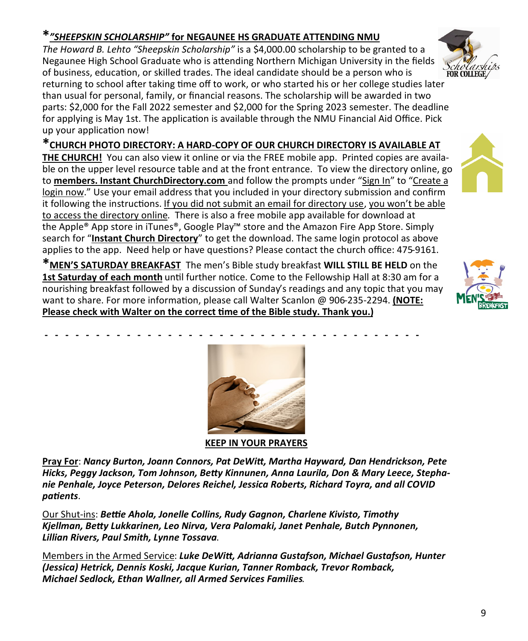### **\****"SHEEPSKIN SCHOLARSHIP"* **for NEGAUNEE HS GRADUATE ATTENDING NMU**

*The Howard B. Lehto "Sheepskin Scholarship"* is a \$4,000.00 scholarship to be granted to a Negaunee High School Graduate who is attending Northern Michigan University in the fields of business, education, or skilled trades. The ideal candidate should be a person who is returning to school after taking time off to work, or who started his or her college studies later than usual for personal, family, or financial reasons. The scholarship will be awarded in two parts: \$2,000 for the Fall 2022 semester and \$2,000 for the Spring 2023 semester. The deadline for applying is May 1st. The application is available through the NMU Financial Aid Office. Pick up your application now!

**\*CHURCH PHOTO DIRECTORY: A HARD-COPY OF OUR CHURCH DIRECTORY IS AVAILABLE AT** 

**THE CHURCH!** You can also view it online or via the FREE mobile app. Printed copies are available on the upper level resource table and at the front entrance. To view the directory online, go to **members. Instant ChurchDirectory.com** and follow the prompts under "Sign In" to "Create a login now." Use your email address that you included in your directory submission and confirm it following the instructions. If you did not submit an email for directory use, you won't be able to access the directory online. There is also a free mobile app available for download at the Apple® App store in iTunes®, Google Play™ store and the Amazon Fire App Store. Simply search for "**Instant Church Directory**" to get the download. The same login protocol as above applies to the app. Need help or have questions? Please contact the church office: 475-9161.

**\*MEN'S SATURDAY BREAKFAST** The men's Bible study breakfast **WILL STILL BE HELD** on the **1st Saturday of each month** until further notice. Come to the Fellowship Hall at 8:30 am for a nourishing breakfast followed by a discussion of Sunday's readings and any topic that you may want to share. For more information, please call Walter Scanlon @ 906-235-2294. **(NOTE: Please check with Walter on the correct time of the Bible study. Thank you.)**



 **KEEP IN YOUR PRAYERS**

**Pray For**: *Nancy Burton, Joann Connors, Pat DeWitt, Martha Hayward, Dan Hendrickson, Pete Hicks, Peggy Jackson, Tom Johnson, Betty Kinnunen, Anna Laurila, Don & Mary Leece, Stephanie Penhale, Joyce Peterson, Delores Reichel, Jessica Roberts, Richard Toyra, and all COVID patients*.

Our Shut-ins: *Bettie Ahola, Jonelle Collins, Rudy Gagnon, Charlene Kivisto, Timothy Kjellman, Betty Lukkarinen, Leo Nirva, Vera Palomaki, Janet Penhale, Butch Pynnonen, Lillian Rivers, Paul Smith, Lynne Tossava*.

Members in the Armed Service: *Luke DeWitt, Adrianna Gustafson, Michael Gustafson, Hunter (Jessica) Hetrick, Dennis Koski, Jacque Kurian, Tanner Romback, Trevor Romback, Michael Sedlock, Ethan Wallner, all Armed Services Families.*









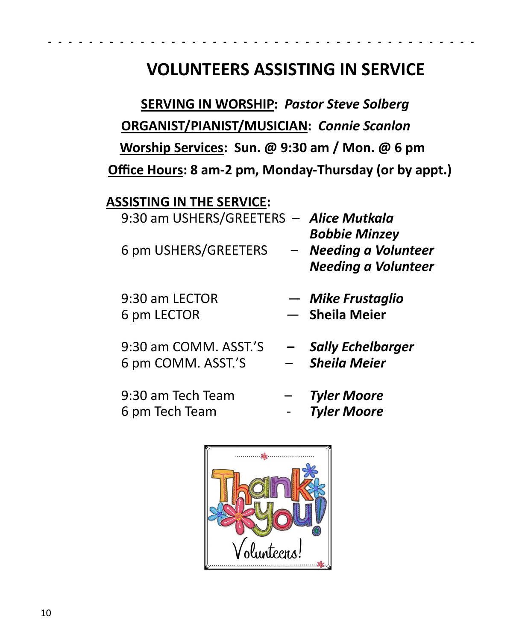## **VOLUNTEERS ASSISTING IN SERVICE**

**- - - - - - - - - - - - - - - - - - - - - - - - - - - - - - - - - - - - - - - - - -**

 **SERVING IN WORSHIP:** *Pastor Steve Solberg* **ORGANIST/PIANIST/MUSICIAN:** *Connie Scanlon*  **Worship Services: Sun. @ 9:30 am / Mon. @ 6 pm Office Hours: 8 am-2 pm, Monday-Thursday (or by appt.)**

### **ASSISTING IN THE SERVICE:**

| 9:30 am USHERS/GREETERS - Alice Mutkala | <b>Bobbie Minzey</b>                                |
|-----------------------------------------|-----------------------------------------------------|
| 6 pm USHERS/GREETERS                    | - Needing a Volunteer<br><b>Needing a Volunteer</b> |
| 9:30 am LECTOR                          | - Mike Frustaglio                                   |

6 pm LECTOR — **Sheila Meier**

9:30 am COMM. ASST.'S *– Sally Echelbarger* 6 pm COMM. ASST.'S – *Sheila Meier*

9:30 am Tech Team – *Tyler Moore*

- 
- 
- 6 pm Tech Team *Tyler Moore*
- -

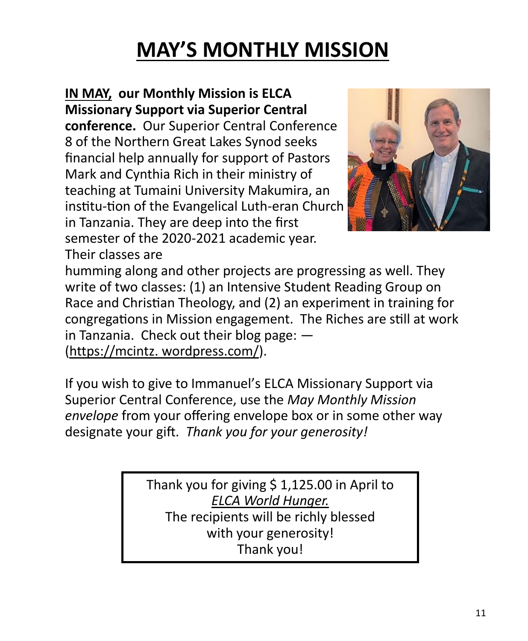# **MAY'S MONTHLY MISSION**

**IN MAY, our Monthly Mission is ELCA Missionary Support via Superior Central conference.** Our Superior Central Conference 8 of the Northern Great Lakes Synod seeks financial help annually for support of Pastors Mark and Cynthia Rich in their ministry of teaching at Tumaini University Makumira, an institu-tion of the Evangelical Luth-eran Church in Tanzania. They are deep into the first semester of the 2020-2021 academic year. Their classes are



humming along and other projects are progressing as well. They write of two classes: (1) an Intensive Student Reading Group on Race and Christian Theology, and (2) an experiment in training for congregations in Mission engagement. The Riches are still at work in Tanzania. Check out their blog page: — [\(https://mcintz. wordpress.com/\)](https://mcintz.wordpress.com/).

If you wish to give to Immanuel's ELCA Missionary Support via Superior Central Conference, use the *May Monthly Mission envelope* from your offering envelope box or in some other way designate your gift. *Thank you for your generosity!* 

> Thank you for giving \$ 1,125.00 in April to *ELCA World Hunger.* The recipients will be richly blessed with your generosity! Thank you!